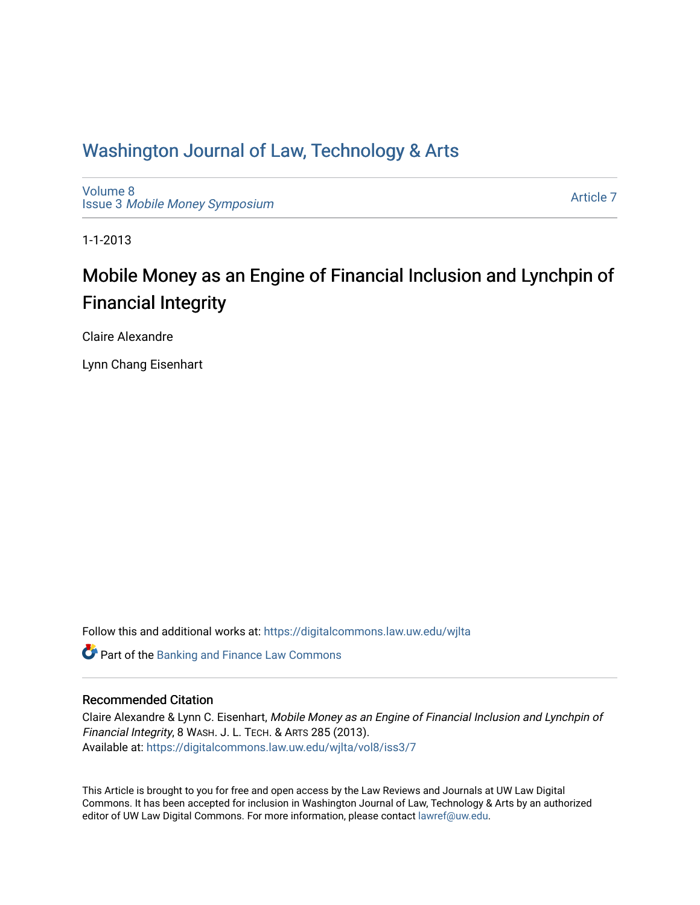## Washington Journal of Law, Technology & Arts

[Volume 8](https://digitalcommons.law.uw.edu/wjlta/vol8) Issue 3 [Mobile Money Symposium](https://digitalcommons.law.uw.edu/wjlta/vol8/iss3)

[Article 7](https://digitalcommons.law.uw.edu/wjlta/vol8/iss3/7) 

1-1-2013

# Mobile Money as an Engine of Financial Inclusion and Lynchpin of Financial Integrity

Claire Alexandre

Lynn Chang Eisenhart

Follow this and additional works at: [https://digitalcommons.law.uw.edu/wjlta](https://digitalcommons.law.uw.edu/wjlta?utm_source=digitalcommons.law.uw.edu%2Fwjlta%2Fvol8%2Fiss3%2F7&utm_medium=PDF&utm_campaign=PDFCoverPages) 

**C** Part of the Banking and Finance Law Commons

## Recommended Citation

Claire Alexandre & Lynn C. Eisenhart, Mobile Money as an Engine of Financial Inclusion and Lynchpin of Financial Integrity, 8 WASH. J. L. TECH. & ARTS 285 (2013). Available at: [https://digitalcommons.law.uw.edu/wjlta/vol8/iss3/7](https://digitalcommons.law.uw.edu/wjlta/vol8/iss3/7?utm_source=digitalcommons.law.uw.edu%2Fwjlta%2Fvol8%2Fiss3%2F7&utm_medium=PDF&utm_campaign=PDFCoverPages)

This Article is brought to you for free and open access by the Law Reviews and Journals at UW Law Digital Commons. It has been accepted for inclusion in Washington Journal of Law, Technology & Arts by an authorized editor of UW Law Digital Commons. For more information, please contact [lawref@uw.edu](mailto:lawref@uw.edu).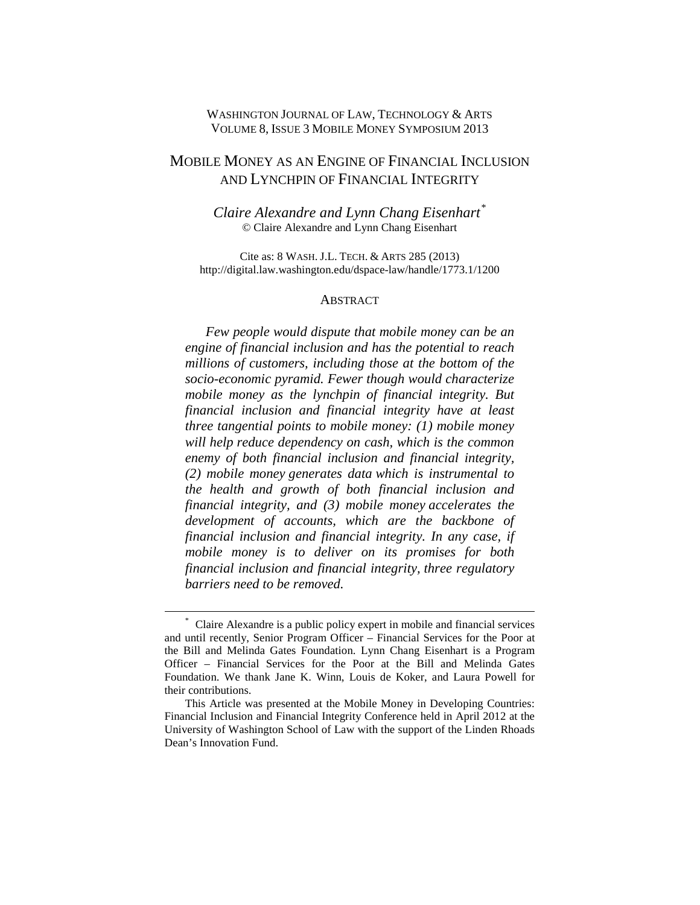## WASHINGTON JOURNAL OF LAW, TECHNOLOGY & ARTS VOLUME 8, ISSUE 3 MOBILE MONEY SYMPOSIUM 2013

## MOBILE MONEY AS AN ENGINE OF FINANCIAL INCLUSION AND LYNCHPIN OF FINANCIAL INTEGRITY

*Claire Alexandre and Lynn Chang Eisenhart[\\*](#page-1-0)* © Claire Alexandre and Lynn Chang Eisenhart

Cite as: 8 WASH. J.L. TECH. & ARTS 285 (2013) http://digital.law.washington.edu/dspace-law/handle/1773.1/1200

#### **ABSTRACT**

*Few people would dispute that mobile money can be an engine of financial inclusion and has the potential to reach millions of customers, including those at the bottom of the socio-economic pyramid. Fewer though would characterize mobile money as the lynchpin of financial integrity. But financial inclusion and financial integrity have at least three tangential points to mobile money: (1) mobile money will help reduce dependency on cash, which is the common enemy of both financial inclusion and financial integrity, (2) mobile money generates data which is instrumental to the health and growth of both financial inclusion and financial integrity, and (3) mobile money accelerates the development of accounts, which are the backbone of financial inclusion and financial integrity. In any case, if mobile money is to deliver on its promises for both financial inclusion and financial integrity, three regulatory barriers need to be removed.*

<span id="page-1-0"></span><sup>\*</sup> Claire Alexandre is a public policy expert in mobile and financial services and until recently, Senior Program Officer – Financial Services for the Poor at the Bill and Melinda Gates Foundation. Lynn Chang Eisenhart is a Program Officer – Financial Services for the Poor at the Bill and Melinda Gates Foundation. We thank Jane K. Winn, Louis de Koker, and Laura Powell for their contributions.

This Article was presented at the Mobile Money in Developing Countries: Financial Inclusion and Financial Integrity Conference held in April 2012 at the University of Washington School of Law with the support of the Linden Rhoads Dean's Innovation Fund.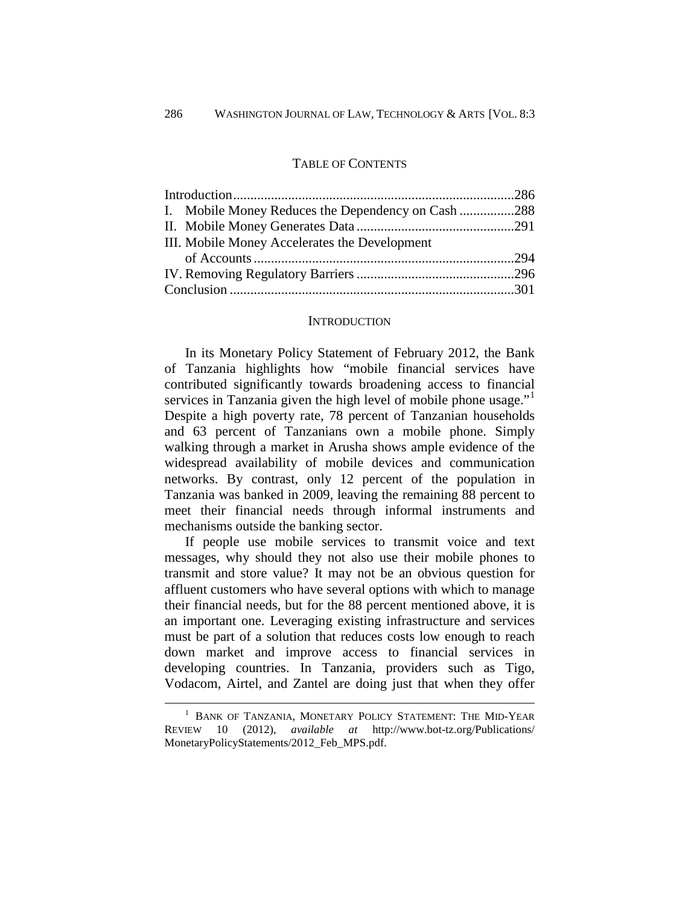## TABLE OF CONTENTS

| I. Mobile Money Reduces the Dependency on Cash 288 |  |
|----------------------------------------------------|--|
|                                                    |  |
| III. Mobile Money Accelerates the Development      |  |
|                                                    |  |
|                                                    |  |
|                                                    |  |

#### **INTRODUCTION**

In its Monetary Policy Statement of February 2012, the Bank of Tanzania highlights how "mobile financial services have contributed significantly towards broadening access to financial services in Tanzania given the high level of mobile phone usage."<sup>[1](#page-2-0)</sup> Despite a high poverty rate, 78 percent of Tanzanian households and 63 percent of Tanzanians own a mobile phone. Simply walking through a market in Arusha shows ample evidence of the widespread availability of mobile devices and communication networks. By contrast, only 12 percent of the population in Tanzania was banked in 2009, leaving the remaining 88 percent to meet their financial needs through informal instruments and mechanisms outside the banking sector.

If people use mobile services to transmit voice and text messages, why should they not also use their mobile phones to transmit and store value? It may not be an obvious question for affluent customers who have several options with which to manage their financial needs, but for the 88 percent mentioned above, it is an important one. Leveraging existing infrastructure and services must be part of a solution that reduces costs low enough to reach down market and improve access to financial services in developing countries. In Tanzania, providers such as Tigo, Vodacom, Airtel, and Zantel are doing just that when they offer

<span id="page-2-0"></span><sup>1</sup> BANK OF TANZANIA, MONETARY POLICY STATEMENT: THE MID-YEAR REVIEW 10 (2012), *available at* http://www.bot-tz.org/Publications/ MonetaryPolicyStatements/2012\_Feb\_MPS.pdf.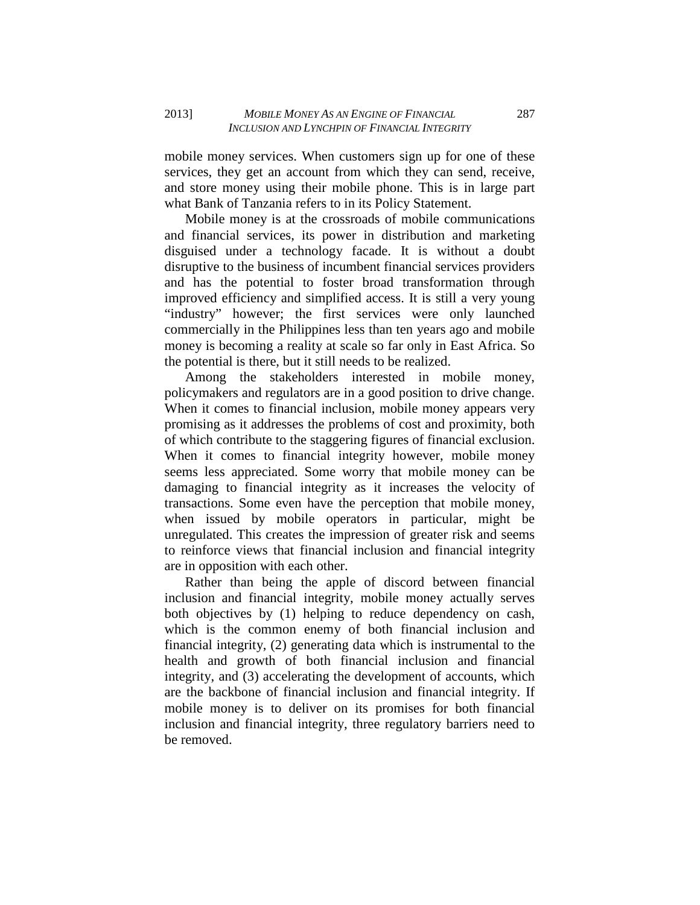mobile money services. When customers sign up for one of these services, they get an account from which they can send, receive, and store money using their mobile phone. This is in large part what Bank of Tanzania refers to in its Policy Statement.

Mobile money is at the crossroads of mobile communications and financial services, its power in distribution and marketing disguised under a technology facade. It is without a doubt disruptive to the business of incumbent financial services providers and has the potential to foster broad transformation through improved efficiency and simplified access. It is still a very young "industry" however; the first services were only launched commercially in the Philippines less than ten years ago and mobile money is becoming a reality at scale so far only in East Africa. So the potential is there, but it still needs to be realized.

Among the stakeholders interested in mobile money, policymakers and regulators are in a good position to drive change. When it comes to financial inclusion, mobile money appears very promising as it addresses the problems of cost and proximity, both of which contribute to the staggering figures of financial exclusion. When it comes to financial integrity however, mobile money seems less appreciated. Some worry that mobile money can be damaging to financial integrity as it increases the velocity of transactions. Some even have the perception that mobile money, when issued by mobile operators in particular, might be unregulated. This creates the impression of greater risk and seems to reinforce views that financial inclusion and financial integrity are in opposition with each other.

Rather than being the apple of discord between financial inclusion and financial integrity, mobile money actually serves both objectives by (1) helping to reduce dependency on cash, which is the common enemy of both financial inclusion and financial integrity, (2) generating data which is instrumental to the health and growth of both financial inclusion and financial integrity, and (3) accelerating the development of accounts, which are the backbone of financial inclusion and financial integrity. If mobile money is to deliver on its promises for both financial inclusion and financial integrity, three regulatory barriers need to be removed.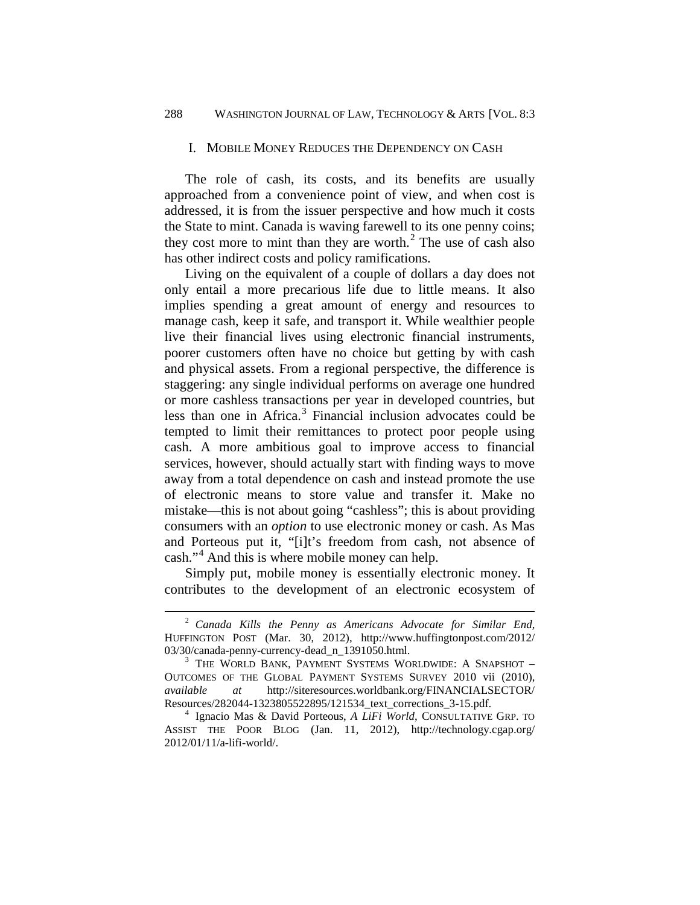#### I. MOBILE MONEY REDUCES THE DEPENDENCY ON CASH

The role of cash, its costs, and its benefits are usually approached from a convenience point of view, and when cost is addressed, it is from the issuer perspective and how much it costs the State to mint. Canada is waving farewell to its one penny coins; they cost more to mint than they are worth. [2](#page-4-0) The use of cash also has other indirect costs and policy ramifications.

Living on the equivalent of a couple of dollars a day does not only entail a more precarious life due to little means. It also implies spending a great amount of energy and resources to manage cash, keep it safe, and transport it. While wealthier people live their financial lives using electronic financial instruments, poorer customers often have no choice but getting by with cash and physical assets. From a regional perspective, the difference is staggering: any single individual performs on average one hundred or more cashless transactions per year in developed countries, but less than one in Africa. [3](#page-4-1) Financial inclusion advocates could be tempted to limit their remittances to protect poor people using cash. A more ambitious goal to improve access to financial services, however, should actually start with finding ways to move away from a total dependence on cash and instead promote the use of electronic means to store value and transfer it. Make no mistake—this is not about going "cashless"; this is about providing consumers with an *option* to use electronic money or cash. As Mas and Porteous put it, "[i]t's freedom from cash, not absence of cash."<sup>[4](#page-4-2)</sup> And this is where mobile money can help.

Simply put, mobile money is essentially electronic money. It contributes to the development of an electronic ecosystem of

<span id="page-4-0"></span><sup>2</sup> *Canada Kills the Penny as Americans Advocate for Similar End*, HUFFINGTON POST (Mar. 30, 2012), http://www.huffingtonpost.com/2012/ 03/30/canada-penny-currency-dead\_n\_1391050.html.

<span id="page-4-1"></span> $3$  THE WORLD BANK, PAYMENT SYSTEMS WORLDWIDE: A SNAPSHOT  $-$ OUTCOMES OF THE GLOBAL PAYMENT SYSTEMS SURVEY 2010 vii (2010), *available at* http://siteresources.worldbank.org/FINANCIALSECTOR/

<span id="page-4-2"></span><sup>&</sup>lt;sup>4</sup> Ignacio Mas & David Porteous, *A LiFi World*, CONSULTATIVE GRP. TO ASSIST THE POOR BLOG (Jan. 11, 2012), http://technology.cgap.org/ 2012/01/11/a-lifi-world/.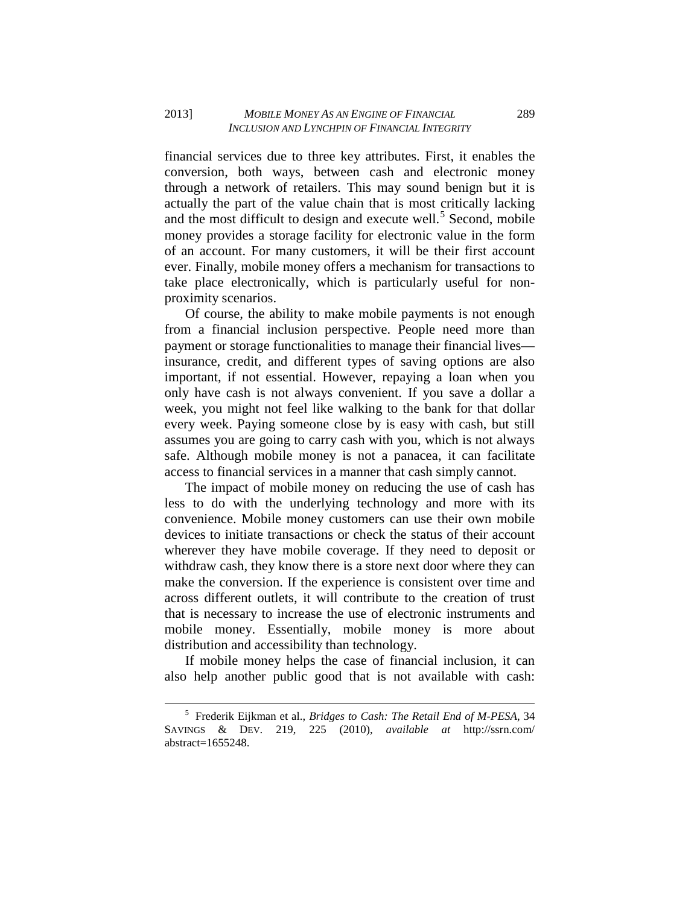financial services due to three key attributes. First, it enables the conversion, both ways, between cash and electronic money through a network of retailers. This may sound benign but it is actually the part of the value chain that is most critically lacking and the most difficult to design and execute well. [5](#page-5-0) Second, mobile money provides a storage facility for electronic value in the form of an account. For many customers, it will be their first account ever. Finally, mobile money offers a mechanism for transactions to take place electronically, which is particularly useful for nonproximity scenarios.

Of course, the ability to make mobile payments is not enough from a financial inclusion perspective. People need more than payment or storage functionalities to manage their financial lives insurance, credit, and different types of saving options are also important, if not essential. However, repaying a loan when you only have cash is not always convenient. If you save a dollar a week, you might not feel like walking to the bank for that dollar every week. Paying someone close by is easy with cash, but still assumes you are going to carry cash with you, which is not always safe. Although mobile money is not a panacea, it can facilitate access to financial services in a manner that cash simply cannot.

The impact of mobile money on reducing the use of cash has less to do with the underlying technology and more with its convenience. Mobile money customers can use their own mobile devices to initiate transactions or check the status of their account wherever they have mobile coverage. If they need to deposit or withdraw cash, they know there is a store next door where they can make the conversion. If the experience is consistent over time and across different outlets, it will contribute to the creation of trust that is necessary to increase the use of electronic instruments and mobile money. Essentially, mobile money is more about distribution and accessibility than technology.

If mobile money helps the case of financial inclusion, it can also help another public good that is not available with cash:

<span id="page-5-0"></span><sup>5</sup> Frederik Eijkman et al., *Bridges to Cash: The Retail End of M-PESA*, 34 SAVINGS & DEV. 219, 225 (2010), *available at* http://ssrn.com/ abstract=1655248.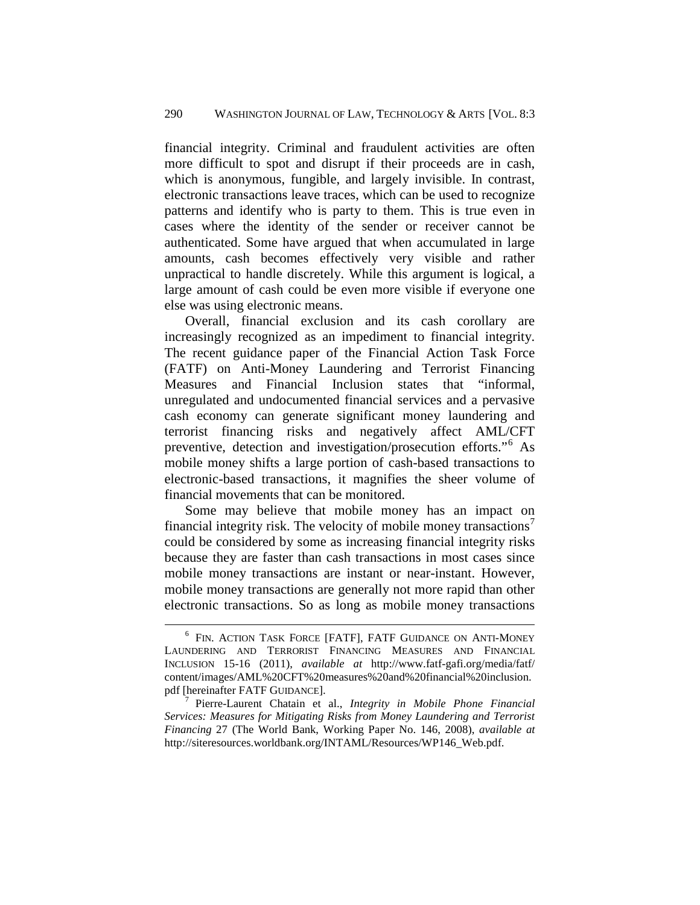financial integrity. Criminal and fraudulent activities are often more difficult to spot and disrupt if their proceeds are in cash, which is anonymous, fungible, and largely invisible. In contrast, electronic transactions leave traces, which can be used to recognize patterns and identify who is party to them. This is true even in cases where the identity of the sender or receiver cannot be authenticated. Some have argued that when accumulated in large amounts, cash becomes effectively very visible and rather unpractical to handle discretely. While this argument is logical, a large amount of cash could be even more visible if everyone one else was using electronic means.

Overall, financial exclusion and its cash corollary are increasingly recognized as an impediment to financial integrity. The recent guidance paper of the Financial Action Task Force (FATF) on Anti-Money Laundering and Terrorist Financing Measures and Financial Inclusion states that "informal, unregulated and undocumented financial services and a pervasive cash economy can generate significant money laundering and terrorist financing risks and negatively affect AML/CFT preventive, detection and investigation/prosecution efforts."[6](#page-6-0) As mobile money shifts a large portion of cash-based transactions to electronic-based transactions, it magnifies the sheer volume of financial movements that can be monitored.

Some may believe that mobile money has an impact on financial integrity risk. The velocity of mobile money transactions $\prime$ could be considered by some as increasing financial integrity risks because they are faster than cash transactions in most cases since mobile money transactions are instant or near-instant. However, mobile money transactions are generally not more rapid than other electronic transactions. So as long as mobile money transactions

<span id="page-6-0"></span><sup>6</sup> FIN. ACTION TASK FORCE [FATF], FATF GUIDANCE ON ANTI-MONEY LAUNDERING AND TERRORIST FINANCING MEASURES AND FINANCIAL INCLUSION 15-16 (2011), *available at* http://www.fatf-gafi.org/media/fatf/ content/images/AML%20CFT%20measures%20and%20financial%20inclusion. pdf [hereinafter FATF GUIDANCE]. 7 Pierre-Laurent Chatain et al., *Integrity in Mobile Phone Financial* 

<span id="page-6-1"></span>*Services: Measures for Mitigating Risks from Money Laundering and Terrorist Financing* 27 (The World Bank, Working Paper No. 146, 2008), *available at* http://siteresources.worldbank.org/INTAML/Resources/WP146\_Web.pdf.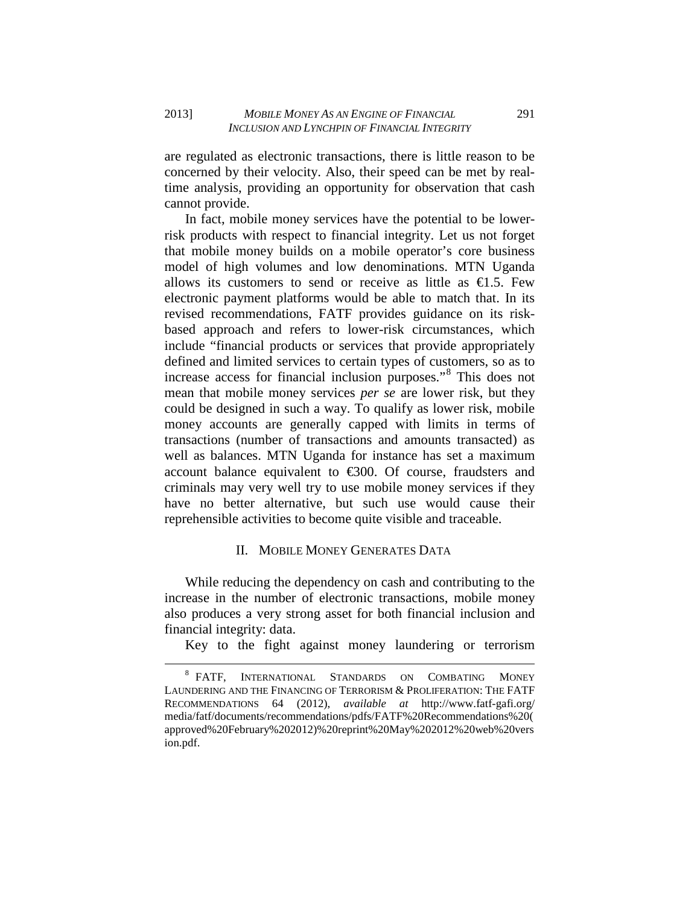are regulated as electronic transactions, there is little reason to be concerned by their velocity. Also, their speed can be met by realtime analysis, providing an opportunity for observation that cash cannot provide.

In fact, mobile money services have the potential to be lowerrisk products with respect to financial integrity. Let us not forget that mobile money builds on a mobile operator's core business model of high volumes and low denominations. MTN Uganda allows its customers to send or receive as little as  $\epsilon$ 1.5. Few electronic payment platforms would be able to match that. In its revised recommendations, FATF provides guidance on its riskbased approach and refers to lower-risk circumstances, which include "financial products or services that provide appropriately defined and limited services to certain types of customers, so as to increase access for financial inclusion purposes."[8](#page-7-0) This does not mean that mobile money services *per se* are lower risk, but they could be designed in such a way. To qualify as lower risk, mobile money accounts are generally capped with limits in terms of transactions (number of transactions and amounts transacted) as well as balances. MTN Uganda for instance has set a maximum account balance equivalent to €300. Of course, fraudsters and criminals may very well try to use mobile money services if they have no better alternative, but such use would cause their reprehensible activities to become quite visible and traceable.

### II. MOBILE MONEY GENERATES DATA

While reducing the dependency on cash and contributing to the increase in the number of electronic transactions, mobile money also produces a very strong asset for both financial inclusion and financial integrity: data.

Key to the fight against money laundering or terrorism

<span id="page-7-0"></span><sup>8</sup> FATF, INTERNATIONAL STANDARDS ON COMBATING MONEY LAUNDERING AND THE FINANCING OF TERRORISM & PROLIFERATION: THE FATF RECOMMENDATIONS 64 (2012), *available at* http://www.fatf-gafi.org/ media/fatf/documents/recommendations/pdfs/FATF%20Recommendations%20( approved%20February%202012)%20reprint%20May%202012%20web%20vers ion.pdf.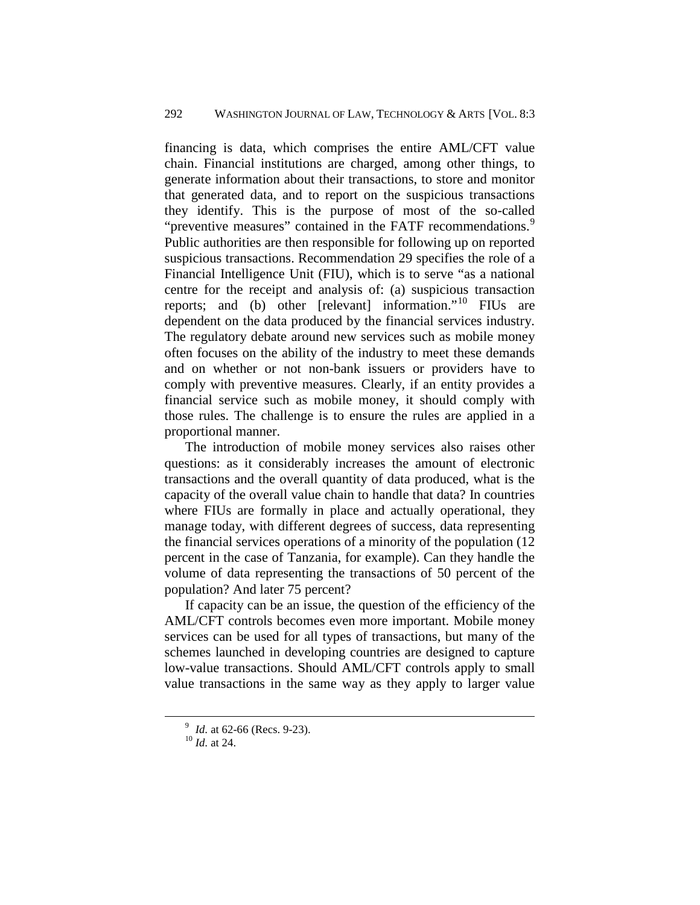financing is data, which comprises the entire AML/CFT value chain. Financial institutions are charged, among other things, to generate information about their transactions, to store and monitor that generated data, and to report on the suspicious transactions they identify. This is the purpose of most of the so-called "preventive measures" contained in the FATF recommendations.<sup>[9](#page-8-0)</sup> Public authorities are then responsible for following up on reported suspicious transactions. Recommendation 29 specifies the role of a Financial Intelligence Unit (FIU), which is to serve "as a national centre for the receipt and analysis of: (a) suspicious transaction reports; and (b) other [relevant] information."[10](#page-8-1) FIUs are dependent on the data produced by the financial services industry. The regulatory debate around new services such as mobile money often focuses on the ability of the industry to meet these demands and on whether or not non-bank issuers or providers have to comply with preventive measures. Clearly, if an entity provides a financial service such as mobile money, it should comply with those rules. The challenge is to ensure the rules are applied in a proportional manner.

The introduction of mobile money services also raises other questions: as it considerably increases the amount of electronic transactions and the overall quantity of data produced, what is the capacity of the overall value chain to handle that data? In countries where FIUs are formally in place and actually operational, they manage today, with different degrees of success, data representing the financial services operations of a minority of the population (12 percent in the case of Tanzania, for example). Can they handle the volume of data representing the transactions of 50 percent of the population? And later 75 percent?

If capacity can be an issue, the question of the efficiency of the AML/CFT controls becomes even more important. Mobile money services can be used for all types of transactions, but many of the schemes launched in developing countries are designed to capture low-value transactions. Should AML/CFT controls apply to small value transactions in the same way as they apply to larger value

<span id="page-8-1"></span><span id="page-8-0"></span><sup>9</sup> *Id.* at 62-66 (Recs. 9-23). <sup>10</sup> *Id.* at 24.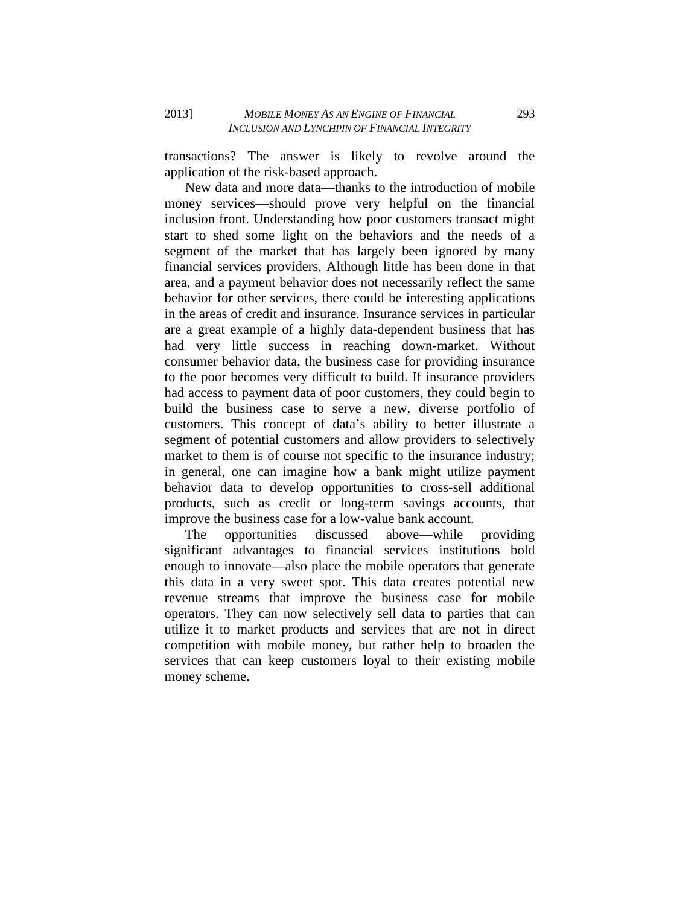transactions? The answer is likely to revolve around the application of the risk-based approach.

New data and more data—thanks to the introduction of mobile money services—should prove very helpful on the financial inclusion front. Understanding how poor customers transact might start to shed some light on the behaviors and the needs of a segment of the market that has largely been ignored by many financial services providers. Although little has been done in that area, and a payment behavior does not necessarily reflect the same behavior for other services, there could be interesting applications in the areas of credit and insurance. Insurance services in particular are a great example of a highly data-dependent business that has had very little success in reaching down-market. Without consumer behavior data, the business case for providing insurance to the poor becomes very difficult to build. If insurance providers had access to payment data of poor customers, they could begin to build the business case to serve a new, diverse portfolio of customers. This concept of data's ability to better illustrate a segment of potential customers and allow providers to selectively market to them is of course not specific to the insurance industry; in general, one can imagine how a bank might utilize payment behavior data to develop opportunities to cross-sell additional products, such as credit or long-term savings accounts, that improve the business case for a low-value bank account.

The opportunities discussed above—while providing significant advantages to financial services institutions bold enough to innovate—also place the mobile operators that generate this data in a very sweet spot. This data creates potential new revenue streams that improve the business case for mobile operators. They can now selectively sell data to parties that can utilize it to market products and services that are not in direct competition with mobile money, but rather help to broaden the services that can keep customers loyal to their existing mobile money scheme.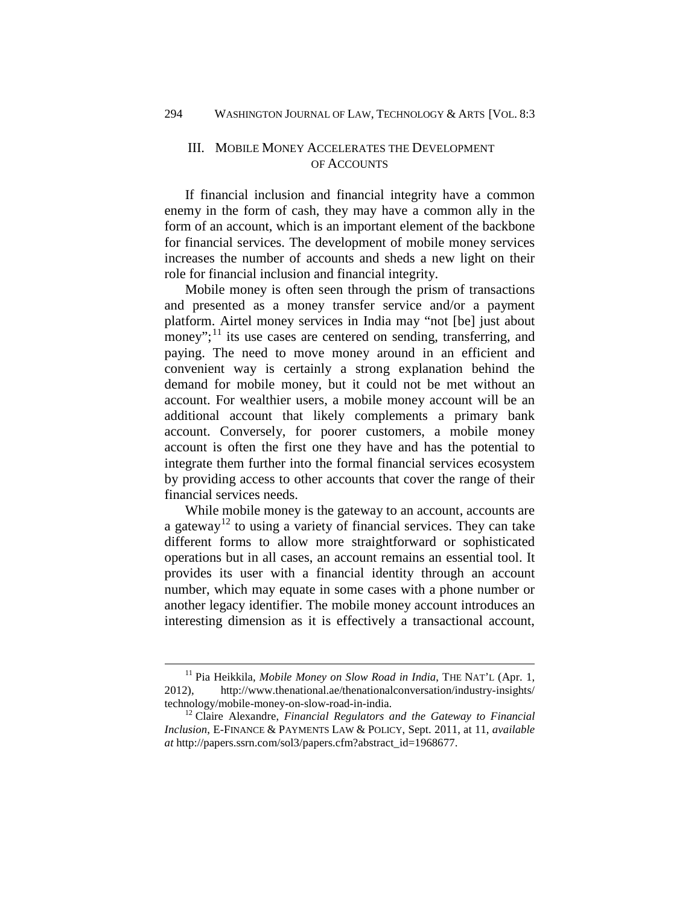## III. MOBILE MONEY ACCELERATES THE DEVELOPMENT OF ACCOUNTS

If financial inclusion and financial integrity have a common enemy in the form of cash, they may have a common ally in the form of an account, which is an important element of the backbone for financial services. The development of mobile money services increases the number of accounts and sheds a new light on their role for financial inclusion and financial integrity.

Mobile money is often seen through the prism of transactions and presented as a money transfer service and/or a payment platform. Airtel money services in India may "not [be] just about money"; $^{11}$  $^{11}$  $^{11}$  its use cases are centered on sending, transferring, and paying. The need to move money around in an efficient and convenient way is certainly a strong explanation behind the demand for mobile money, but it could not be met without an account. For wealthier users, a mobile money account will be an additional account that likely complements a primary bank account. Conversely, for poorer customers, a mobile money account is often the first one they have and has the potential to integrate them further into the formal financial services ecosystem by providing access to other accounts that cover the range of their financial services needs.

While mobile money is the gateway to an account, accounts are a gateway<sup>[12](#page-10-1)</sup> to using a variety of financial services. They can take different forms to allow more straightforward or sophisticated operations but in all cases, an account remains an essential tool. It provides its user with a financial identity through an account number, which may equate in some cases with a phone number or another legacy identifier. The mobile money account introduces an interesting dimension as it is effectively a transactional account,

<span id="page-10-0"></span><sup>&</sup>lt;sup>11</sup> Pia Heikkila, *Mobile Money on Slow Road in India*, THE NAT'L (Apr. 1, 2012), http://www.thenational.ae/thenationalconversation/industry-insights/ technology/mobile-money-on-slow-road-in-india. 12 Claire Alexandre, *Financial Regulators and the Gateway to Financial* 

<span id="page-10-1"></span>*Inclusion*, E-FINANCE & PAYMENTS LAW & POLICY, Sept. 2011, at 11, *available at* http://papers.ssrn.com/sol3/papers.cfm?abstract\_id=1968677.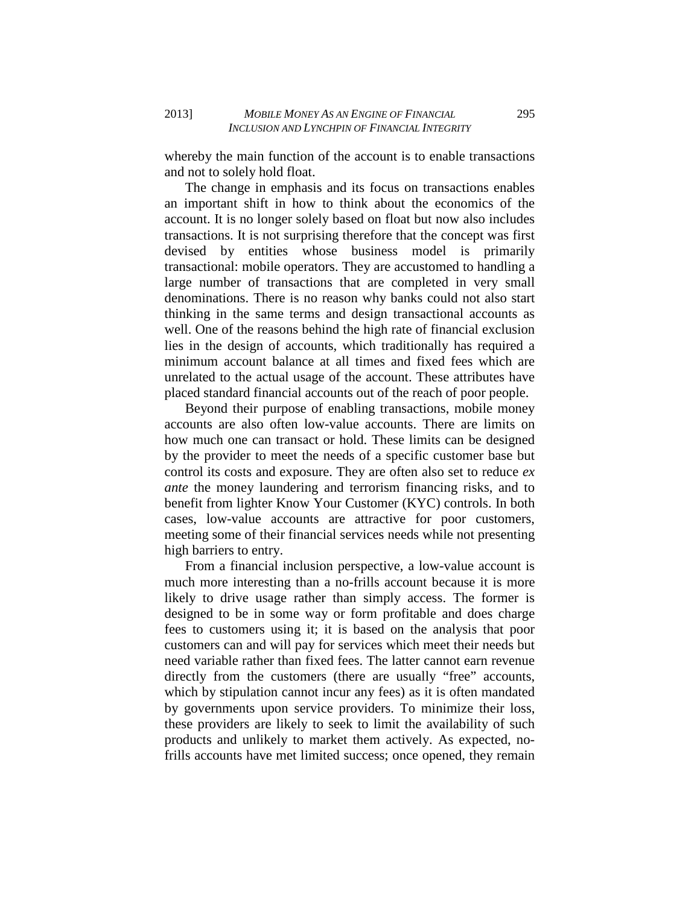whereby the main function of the account is to enable transactions and not to solely hold float.

The change in emphasis and its focus on transactions enables an important shift in how to think about the economics of the account. It is no longer solely based on float but now also includes transactions. It is not surprising therefore that the concept was first devised by entities whose business model is primarily transactional: mobile operators. They are accustomed to handling a large number of transactions that are completed in very small denominations. There is no reason why banks could not also start thinking in the same terms and design transactional accounts as well. One of the reasons behind the high rate of financial exclusion lies in the design of accounts, which traditionally has required a minimum account balance at all times and fixed fees which are unrelated to the actual usage of the account. These attributes have placed standard financial accounts out of the reach of poor people.

Beyond their purpose of enabling transactions, mobile money accounts are also often low-value accounts. There are limits on how much one can transact or hold. These limits can be designed by the provider to meet the needs of a specific customer base but control its costs and exposure. They are often also set to reduce *ex ante* the money laundering and terrorism financing risks, and to benefit from lighter Know Your Customer (KYC) controls. In both cases, low-value accounts are attractive for poor customers, meeting some of their financial services needs while not presenting high barriers to entry.

From a financial inclusion perspective, a low-value account is much more interesting than a no-frills account because it is more likely to drive usage rather than simply access. The former is designed to be in some way or form profitable and does charge fees to customers using it; it is based on the analysis that poor customers can and will pay for services which meet their needs but need variable rather than fixed fees. The latter cannot earn revenue directly from the customers (there are usually "free" accounts, which by stipulation cannot incur any fees) as it is often mandated by governments upon service providers. To minimize their loss, these providers are likely to seek to limit the availability of such products and unlikely to market them actively. As expected, nofrills accounts have met limited success; once opened, they remain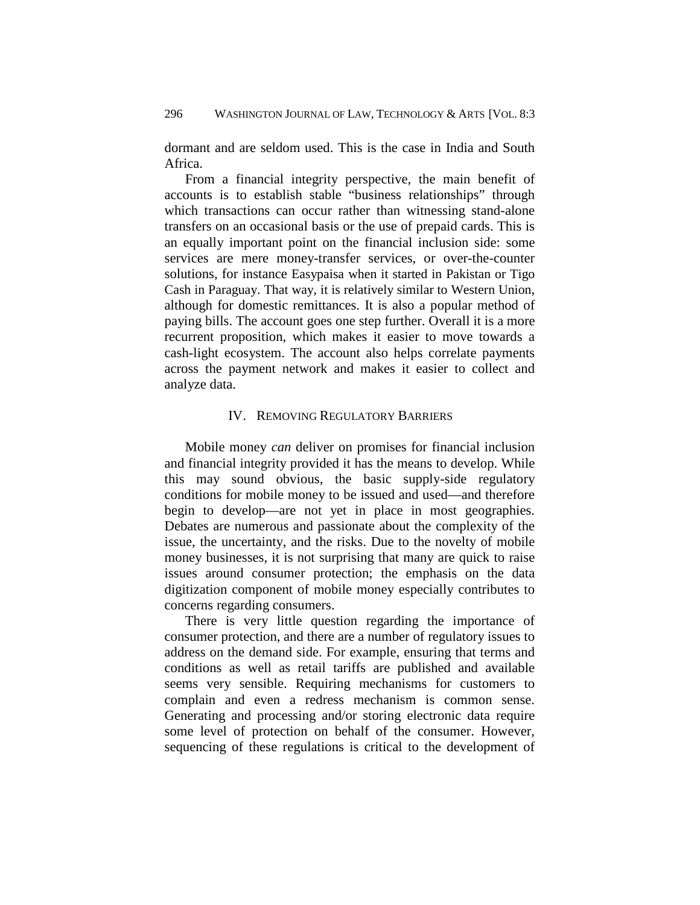dormant and are seldom used. This is the case in India and South Africa.

From a financial integrity perspective, the main benefit of accounts is to establish stable "business relationships" through which transactions can occur rather than witnessing stand-alone transfers on an occasional basis or the use of prepaid cards. This is an equally important point on the financial inclusion side: some services are mere money-transfer services, or over-the-counter solutions, for instance Easypaisa when it started in Pakistan or Tigo Cash in Paraguay. That way, it is relatively similar to Western Union, although for domestic remittances. It is also a popular method of paying bills. The account goes one step further. Overall it is a more recurrent proposition, which makes it easier to move towards a cash-light ecosystem. The account also helps correlate payments across the payment network and makes it easier to collect and analyze data.

## IV. REMOVING REGULATORY BARRIERS

Mobile money *can* deliver on promises for financial inclusion and financial integrity provided it has the means to develop. While this may sound obvious, the basic supply-side regulatory conditions for mobile money to be issued and used—and therefore begin to develop—are not yet in place in most geographies. Debates are numerous and passionate about the complexity of the issue, the uncertainty, and the risks. Due to the novelty of mobile money businesses, it is not surprising that many are quick to raise issues around consumer protection; the emphasis on the data digitization component of mobile money especially contributes to concerns regarding consumers.

There is very little question regarding the importance of consumer protection, and there are a number of regulatory issues to address on the demand side. For example, ensuring that terms and conditions as well as retail tariffs are published and available seems very sensible. Requiring mechanisms for customers to complain and even a redress mechanism is common sense. Generating and processing and/or storing electronic data require some level of protection on behalf of the consumer. However, sequencing of these regulations is critical to the development of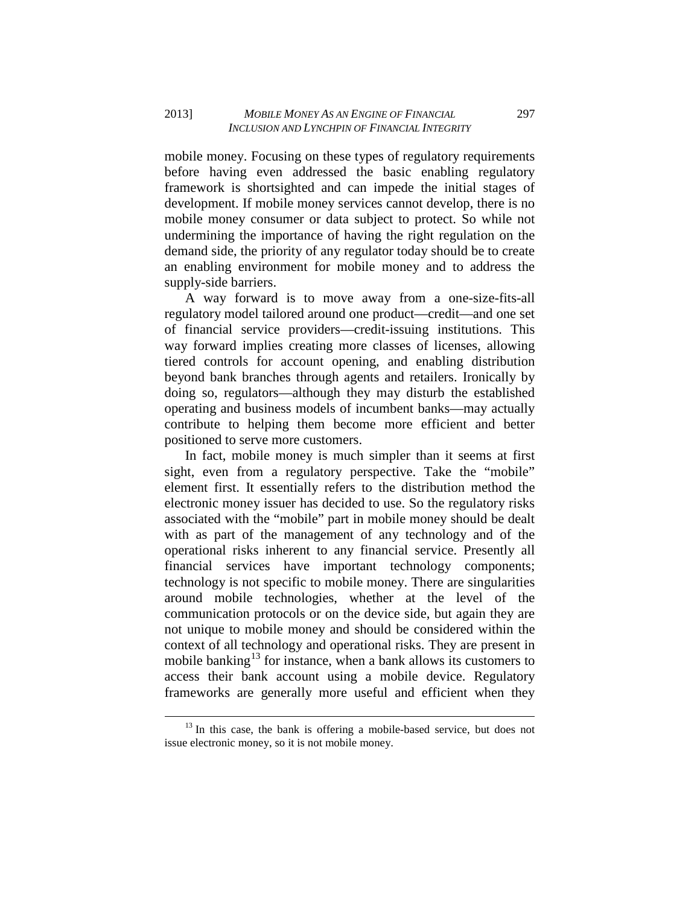mobile money. Focusing on these types of regulatory requirements before having even addressed the basic enabling regulatory framework is shortsighted and can impede the initial stages of development. If mobile money services cannot develop, there is no mobile money consumer or data subject to protect. So while not undermining the importance of having the right regulation on the demand side, the priority of any regulator today should be to create an enabling environment for mobile money and to address the supply-side barriers.

A way forward is to move away from a one-size-fits-all regulatory model tailored around one product—credit—and one set of financial service providers—credit-issuing institutions. This way forward implies creating more classes of licenses, allowing tiered controls for account opening, and enabling distribution beyond bank branches through agents and retailers. Ironically by doing so, regulators—although they may disturb the established operating and business models of incumbent banks—may actually contribute to helping them become more efficient and better positioned to serve more customers.

In fact, mobile money is much simpler than it seems at first sight, even from a regulatory perspective. Take the "mobile" element first. It essentially refers to the distribution method the electronic money issuer has decided to use. So the regulatory risks associated with the "mobile" part in mobile money should be dealt with as part of the management of any technology and of the operational risks inherent to any financial service. Presently all financial services have important technology components; technology is not specific to mobile money. There are singularities around mobile technologies, whether at the level of the communication protocols or on the device side, but again they are not unique to mobile money and should be considered within the context of all technology and operational risks. They are present in mobile banking<sup>[13](#page-13-0)</sup> for instance, when a bank allows its customers to access their bank account using a mobile device. Regulatory frameworks are generally more useful and efficient when they

<span id="page-13-0"></span> $13$  In this case, the bank is offering a mobile-based service, but does not issue electronic money, so it is not mobile money.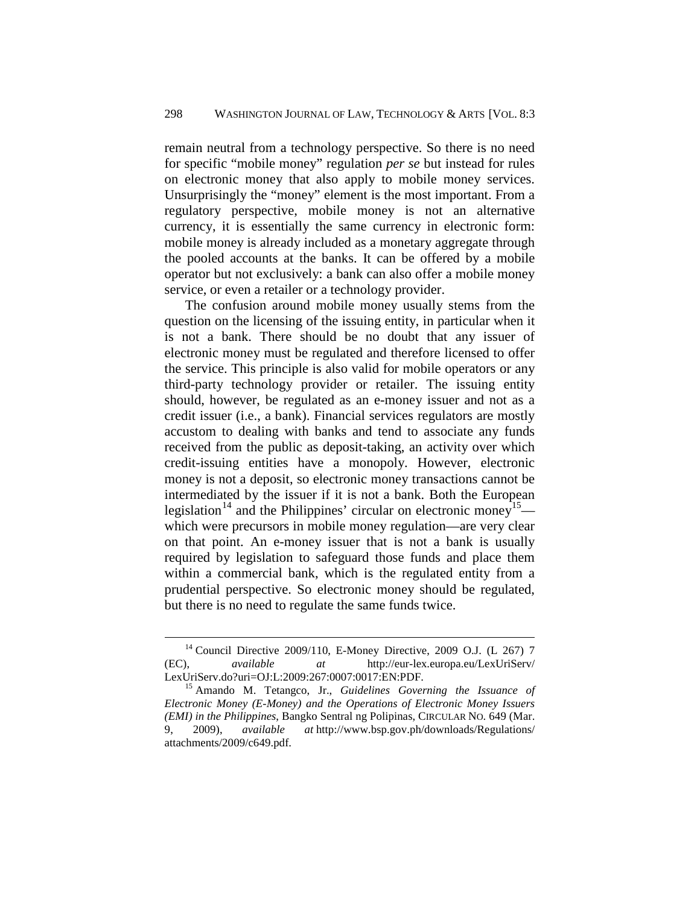remain neutral from a technology perspective. So there is no need for specific "mobile money" regulation *per se* but instead for rules on electronic money that also apply to mobile money services. Unsurprisingly the "money" element is the most important. From a regulatory perspective, mobile money is not an alternative currency, it is essentially the same currency in electronic form: mobile money is already included as a monetary aggregate through the pooled accounts at the banks. It can be offered by a mobile operator but not exclusively: a bank can also offer a mobile money service, or even a retailer or a technology provider.

The confusion around mobile money usually stems from the question on the licensing of the issuing entity, in particular when it is not a bank. There should be no doubt that any issuer of electronic money must be regulated and therefore licensed to offer the service. This principle is also valid for mobile operators or any third-party technology provider or retailer. The issuing entity should, however, be regulated as an e-money issuer and not as a credit issuer (i.e., a bank). Financial services regulators are mostly accustom to dealing with banks and tend to associate any funds received from the public as deposit-taking, an activity over which credit-issuing entities have a monopoly. However, electronic money is not a deposit, so electronic money transactions cannot be intermediated by the issuer if it is not a bank. Both the European legislation<sup>[14](#page-14-0)</sup> and the Philippines' circular on electronic money<sup>[15](#page-14-1)</sup> which were precursors in mobile money regulation—are very clear on that point. An e-money issuer that is not a bank is usually required by legislation to safeguard those funds and place them within a commercial bank, which is the regulated entity from a prudential perspective. So electronic money should be regulated, but there is no need to regulate the same funds twice.

<span id="page-14-0"></span> $14$  Council Directive 2009/110, E-Money Directive, 2009 O.J. (L 267) 7 (EC), *available at* http://eur-lex.europa.eu/LexUriServ/ LexUriServ.do?uri=OJ:L:2009:267:0007:0017:EN:PDF. 15 Amando M. Tetangco, Jr., *Guidelines Governing the Issuance of* 

<span id="page-14-1"></span>*Electronic Money (E-Money) and the Operations of Electronic Money Issuers (EMI) in the Philippines*, Bangko Sentral ng Polipinas, CIRCULAR NO. 649 (Mar. 9, 2009), *available at* http://www.bsp.gov.ph/downloads/Regulations/ attachments/2009/c649.pdf.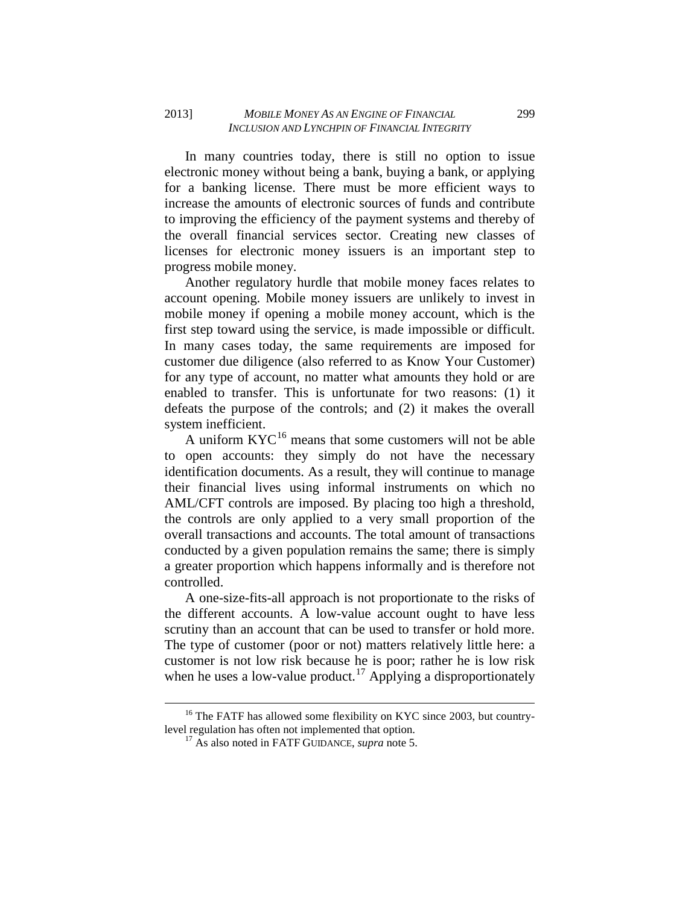In many countries today, there is still no option to issue electronic money without being a bank, buying a bank, or applying for a banking license. There must be more efficient ways to increase the amounts of electronic sources of funds and contribute to improving the efficiency of the payment systems and thereby of the overall financial services sector. Creating new classes of licenses for electronic money issuers is an important step to progress mobile money.

Another regulatory hurdle that mobile money faces relates to account opening. Mobile money issuers are unlikely to invest in mobile money if opening a mobile money account, which is the first step toward using the service, is made impossible or difficult. In many cases today, the same requirements are imposed for customer due diligence (also referred to as Know Your Customer) for any type of account, no matter what amounts they hold or are enabled to transfer. This is unfortunate for two reasons: (1) it defeats the purpose of the controls; and (2) it makes the overall system inefficient.

A uniform  $KYC^{16}$  $KYC^{16}$  $KYC^{16}$  means that some customers will not be able to open accounts: they simply do not have the necessary identification documents. As a result, they will continue to manage their financial lives using informal instruments on which no AML/CFT controls are imposed. By placing too high a threshold, the controls are only applied to a very small proportion of the overall transactions and accounts. The total amount of transactions conducted by a given population remains the same; there is simply a greater proportion which happens informally and is therefore not controlled.

A one-size-fits-all approach is not proportionate to the risks of the different accounts. A low-value account ought to have less scrutiny than an account that can be used to transfer or hold more. The type of customer (poor or not) matters relatively little here: a customer is not low risk because he is poor; rather he is low risk when he uses a low-value product.<sup>[17](#page-15-1)</sup> Applying a disproportionately

<span id="page-15-1"></span><span id="page-15-0"></span><sup>&</sup>lt;sup>16</sup> The FATF has allowed some flexibility on KYC since 2003, but countrylevel regulation has often not implemented that option. 17 As also noted in FATF GUIDANCE, *supra* note 5.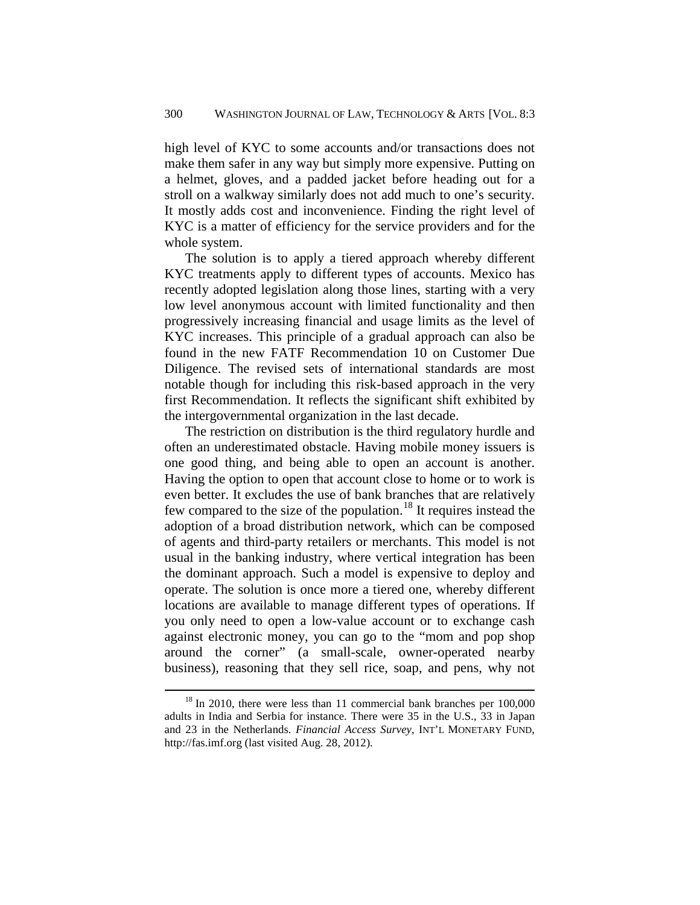high level of KYC to some accounts and/or transactions does not make them safer in any way but simply more expensive. Putting on a helmet, gloves, and a padded jacket before heading out for a stroll on a walkway similarly does not add much to one's security. It mostly adds cost and inconvenience. Finding the right level of KYC is a matter of efficiency for the service providers and for the whole system.

The solution is to apply a tiered approach whereby different KYC treatments apply to different types of accounts. Mexico has recently adopted legislation along those lines, starting with a very low level anonymous account with limited functionality and then progressively increasing financial and usage limits as the level of KYC increases. This principle of a gradual approach can also be found in the new FATF Recommendation 10 on Customer Due Diligence. The revised sets of international standards are most notable though for including this risk-based approach in the very first Recommendation. It reflects the significant shift exhibited by the intergovernmental organization in the last decade.

The restriction on distribution is the third regulatory hurdle and often an underestimated obstacle. Having mobile money issuers is one good thing, and being able to open an account is another. Having the option to open that account close to home or to work is even better. It excludes the use of bank branches that are relatively few compared to the size of the population.[18](#page-16-0) It requires instead the adoption of a broad distribution network, which can be composed of agents and third-party retailers or merchants. This model is not usual in the banking industry, where vertical integration has been the dominant approach. Such a model is expensive to deploy and operate. The solution is once more a tiered one, whereby different locations are available to manage different types of operations. If you only need to open a low-value account or to exchange cash against electronic money, you can go to the "mom and pop shop around the corner" (a small-scale, owner-operated nearby business), reasoning that they sell rice, soap, and pens, why not

<span id="page-16-0"></span> $18$  In 2010, there were less than 11 commercial bank branches per 100,000 adults in India and Serbia for instance. There were 35 in the U.S., 33 in Japan and 23 in the Netherlands. *Financial Access Survey*, INT'L MONETARY FUND, http://fas.imf.org (last visited Aug. 28, 2012).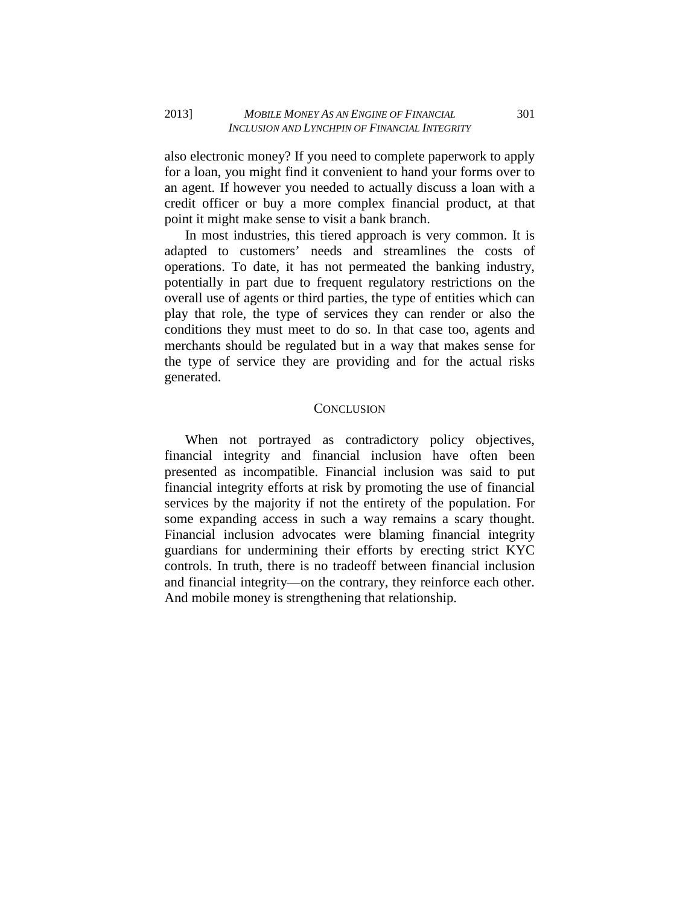also electronic money? If you need to complete paperwork to apply for a loan, you might find it convenient to hand your forms over to an agent. If however you needed to actually discuss a loan with a credit officer or buy a more complex financial product, at that point it might make sense to visit a bank branch.

In most industries, this tiered approach is very common. It is adapted to customers' needs and streamlines the costs of operations. To date, it has not permeated the banking industry, potentially in part due to frequent regulatory restrictions on the overall use of agents or third parties, the type of entities which can play that role, the type of services they can render or also the conditions they must meet to do so. In that case too, agents and merchants should be regulated but in a way that makes sense for the type of service they are providing and for the actual risks generated.

## **CONCLUSION**

When not portrayed as contradictory policy objectives, financial integrity and financial inclusion have often been presented as incompatible. Financial inclusion was said to put financial integrity efforts at risk by promoting the use of financial services by the majority if not the entirety of the population. For some expanding access in such a way remains a scary thought. Financial inclusion advocates were blaming financial integrity guardians for undermining their efforts by erecting strict KYC controls. In truth, there is no tradeoff between financial inclusion and financial integrity—on the contrary, they reinforce each other. And mobile money is strengthening that relationship.